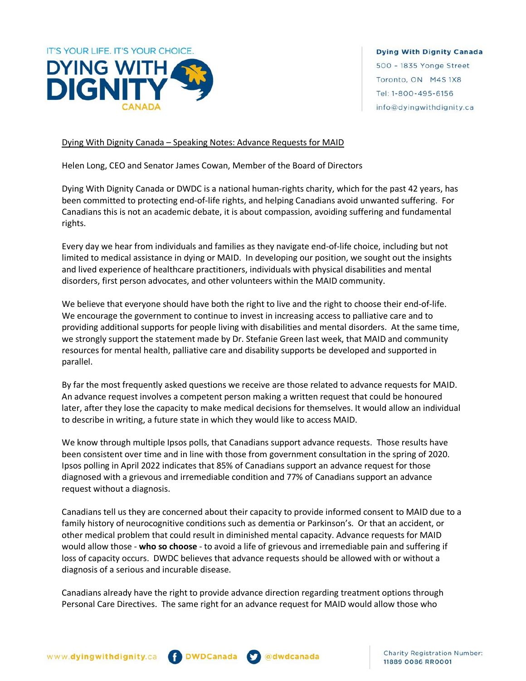

**Dying With Dignity Canada** 500 - 1835 Yonge Street Toronto, ON M4S 1X8 Tel: 1-800-495-6156 info@dyingwithdignity.ca

## Dying With Dignity Canada – Speaking Notes: Advance Requests for MAID

Helen Long, CEO and Senator James Cowan, Member of the Board of Directors

Dying With Dignity Canada or DWDC is a national human-rights charity, which for the past 42 years, has been committed to protecting end-of-life rights, and helping Canadians avoid unwanted suffering. For Canadians this is not an academic debate, it is about compassion, avoiding suffering and fundamental rights.

Every day we hear from individuals and families as they navigate end-of-life choice, including but not limited to medical assistance in dying or MAID. In developing our position, we sought out the insights and lived experience of healthcare practitioners, individuals with physical disabilities and mental disorders, first person advocates, and other volunteers within the MAID community.

We believe that everyone should have both the right to live and the right to choose their end-of-life. We encourage the government to continue to invest in increasing access to palliative care and to providing additional supports for people living with disabilities and mental disorders. At the same time, we strongly support the statement made by Dr. Stefanie Green last week, that MAID and community resources for mental health, palliative care and disability supports be developed and supported in parallel.

By far the most frequently asked questions we receive are those related to advance requests for MAID. An advance request involves a competent person making a written request that could be honoured later, after they lose the capacity to make medical decisions for themselves. It would allow an individual to describe in writing, a future state in which they would like to access MAID.

We know through multiple Ipsos polls, that Canadians support advance requests. Those results have been consistent over time and in line with those from government consultation in the spring of 2020. Ipsos polling in April 2022 indicates that 85% of Canadians support an advance request for those diagnosed with a grievous and irremediable condition and 77% of Canadians support an advance request without a diagnosis.

Canadians tell us they are concerned about their capacity to provide informed consent to MAID due to a family history of neurocognitive conditions such as dementia or Parkinson's. Or that an accident, or other medical problem that could result in diminished mental capacity. Advance requests for MAID would allow those - **who so choose** - to avoid a life of grievous and irremediable pain and suffering if loss of capacity occurs. DWDC believes that advance requests should be allowed with or without a diagnosis of a serious and incurable disease.

Canadians already have the right to provide advance direction regarding treatment options through Personal Care Directives. The same right for an advance request for MAID would allow those who